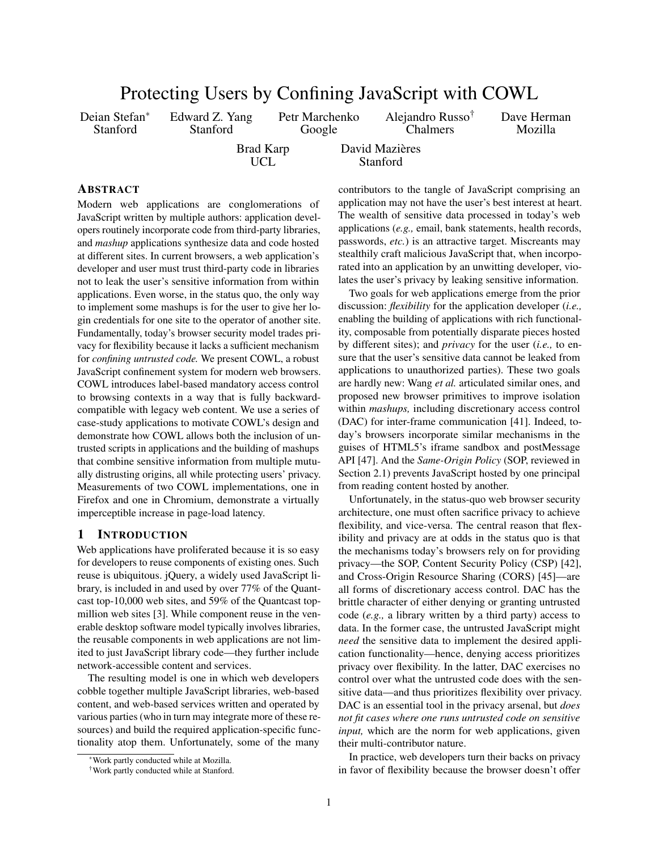| Protecting Users by Confining JavaScript with COWL      |                         |                          |                                                 |                        |  |  |  |
|---------------------------------------------------------|-------------------------|--------------------------|-------------------------------------------------|------------------------|--|--|--|
| Deian Stefan*<br>Edward Z. Yang<br>Stanford<br>Stanford |                         | Petr Marchenko<br>Google | Alejandro Russo <sup>†</sup><br><b>Chalmers</b> | Dave Herman<br>Mozilla |  |  |  |
|                                                         | <b>Brad Karp</b><br>UCL |                          | David Mazières<br>Stanford                      |                        |  |  |  |

## ABSTRACT

Modern web applications are conglomerations of JavaScript written by multiple authors: application developers routinely incorporate code from third-party libraries, and *mashup* applications synthesize data and code hosted at different sites. In current browsers, a web application's developer and user must trust third-party code in libraries not to leak the user's sensitive information from within applications. Even worse, in the status quo, the only way to implement some mashups is for the user to give her login credentials for one site to the operator of another site. Fundamentally, today's browser security model trades privacy for flexibility because it lacks a sufficient mechanism for *confining untrusted code.* We present COWL, a robust JavaScript confinement system for modern web browsers. COWL introduces label-based mandatory access control to browsing contexts in a way that is fully backwardcompatible with legacy web content. We use a series of case-study applications to motivate COWL's design and demonstrate how COWL allows both the inclusion of untrusted scripts in applications and the building of mashups that combine sensitive information from multiple mutually distrusting origins, all while protecting users' privacy. Measurements of two COWL implementations, one in Firefox and one in Chromium, demonstrate a virtually imperceptible increase in page-load latency.

# 1 INTRODUCTION

Web applications have proliferated because it is so easy for developers to reuse components of existing ones. Such reuse is ubiquitous. jQuery, a widely used JavaScript library, is included in and used by over 77% of the Quantcast top-10,000 web sites, and 59% of the Quantcast topmillion web sites [\[3\]](#page-14-0). While component reuse in the venerable desktop software model typically involves libraries, the reusable components in web applications are not limited to just JavaScript library code—they further include network-accessible content and services.

The resulting model is one in which web developers cobble together multiple JavaScript libraries, web-based content, and web-based services written and operated by various parties (who in turn may integrate more of these resources) and build the required application-specific functionality atop them. Unfortunately, some of the many

contributors to the tangle of JavaScript comprising an application may not have the user's best interest at heart. The wealth of sensitive data processed in today's web applications (*e.g.,* email, bank statements, health records, passwords, *etc.*) is an attractive target. Miscreants may stealthily craft malicious JavaScript that, when incorporated into an application by an unwitting developer, violates the user's privacy by leaking sensitive information.

Two goals for web applications emerge from the prior discussion: *flexibility* for the application developer (*i.e.,* enabling the building of applications with rich functionality, composable from potentially disparate pieces hosted by different sites); and *privacy* for the user (*i.e.,* to ensure that the user's sensitive data cannot be leaked from applications to unauthorized parties). These two goals are hardly new: Wang *et al.* articulated similar ones, and proposed new browser primitives to improve isolation within *mashups,* including discretionary access control (DAC) for inter-frame communication [\[41\]](#page-15-0). Indeed, today's browsers incorporate similar mechanisms in the guises of HTML5's iframe sandbox and postMessage API [\[47\]](#page-15-1). And the *Same-Origin Policy* (SOP, reviewed in Section [2.1\)](#page-1-0) prevents JavaScript hosted by one principal from reading content hosted by another.

Unfortunately, in the status-quo web browser security architecture, one must often sacrifice privacy to achieve flexibility, and vice-versa. The central reason that flexibility and privacy are at odds in the status quo is that the mechanisms today's browsers rely on for providing privacy—the SOP, Content Security Policy (CSP) [\[42\]](#page-15-2), and Cross-Origin Resource Sharing (CORS) [\[45\]](#page-15-3)—are all forms of discretionary access control. DAC has the brittle character of either denying or granting untrusted code (*e.g.,* a library written by a third party) access to data. In the former case, the untrusted JavaScript might *need* the sensitive data to implement the desired application functionality—hence, denying access prioritizes privacy over flexibility. In the latter, DAC exercises no control over what the untrusted code does with the sensitive data—and thus prioritizes flexibility over privacy. DAC is an essential tool in the privacy arsenal, but *does not fit cases where one runs untrusted code on sensitive input*, which are the norm for web applications, given their multi-contributor nature.

In practice, web developers turn their backs on privacy in favor of flexibility because the browser doesn't offer

<sup>∗</sup>Work partly conducted while at Mozilla.

<sup>†</sup>Work partly conducted while at Stanford.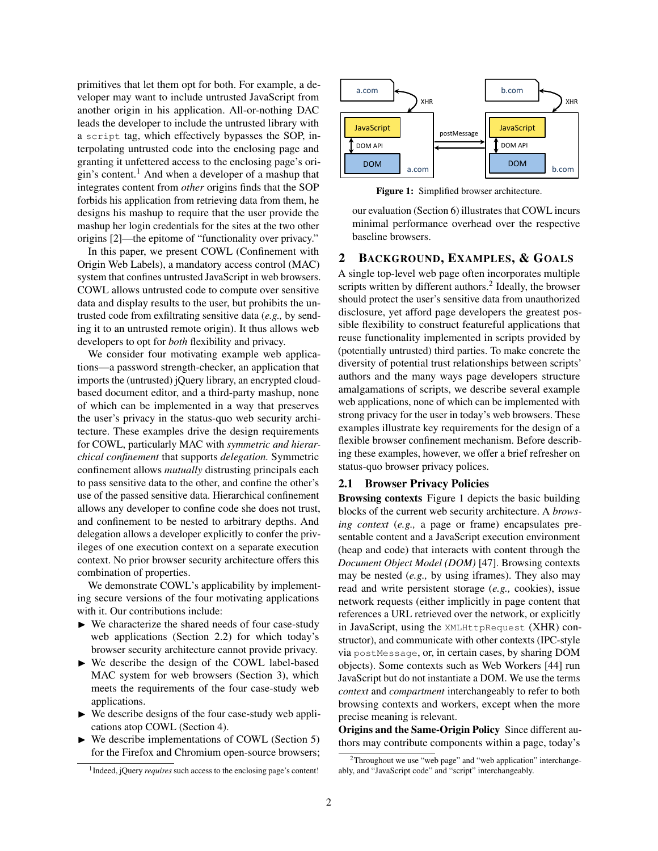primitives that let them opt for both. For example, a developer may want to include untrusted JavaScript from another origin in his application. All-or-nothing DAC leads the developer to include the untrusted library with a script tag, which effectively bypasses the SOP, interpolating untrusted code into the enclosing page and granting it unfettered access to the enclosing page's ori-gin's content.<sup>[1](#page-1-1)</sup> And when a developer of a mashup that integrates content from *other* origins finds that the SOP forbids his application from retrieving data from them, he designs his mashup to require that the user provide the mashup her login credentials for the sites at the two other origins [\[2\]](#page-14-1)—the epitome of "functionality over privacy."

In this paper, we present COWL (Confinement with Origin Web Labels), a mandatory access control (MAC) system that confines untrusted JavaScript in web browsers. COWL allows untrusted code to compute over sensitive data and display results to the user, but prohibits the untrusted code from exfiltrating sensitive data (*e.g.,* by sending it to an untrusted remote origin). It thus allows web developers to opt for *both* flexibility and privacy.

We consider four motivating example web applications—a password strength-checker, an application that imports the (untrusted) jQuery library, an encrypted cloudbased document editor, and a third-party mashup, none of which can be implemented in a way that preserves the user's privacy in the status-quo web security architecture. These examples drive the design requirements for COWL, particularly MAC with *symmetric and hierarchical confinement* that supports *delegation.* Symmetric confinement allows *mutually* distrusting principals each to pass sensitive data to the other, and confine the other's use of the passed sensitive data. Hierarchical confinement allows any developer to confine code she does not trust, and confinement to be nested to arbitrary depths. And delegation allows a developer explicitly to confer the privileges of one execution context on a separate execution context. No prior browser security architecture offers this combination of properties.

We demonstrate COWL's applicability by implementing secure versions of the four motivating applications with it. Our contributions include:

- $\triangleright$  We characterize the shared needs of four case-study web applications (Section [2.2\)](#page-2-0) for which today's browser security architecture cannot provide privacy.
- ► We describe the design of the COWL label-based MAC system for web browsers (Section [3\)](#page-4-0), which meets the requirements of the four case-study web applications.
- $\triangleright$  We describe designs of the four case-study web applications atop COWL (Section [4\)](#page-7-0).
- We describe implementations of COWL (Section [5\)](#page-9-0) for the Firefox and Chromium open-source browsers;

<span id="page-1-3"></span>

Figure 1: Simplified browser architecture.

our evaluation (Section [6\)](#page-10-0) illustrates that COWL incurs minimal performance overhead over the respective baseline browsers.

## 2 BACKGROUND, EXAMPLES, & GOALS

A single top-level web page often incorporates multiple scripts written by different authors.<sup>[2](#page-1-2)</sup> Ideally, the browser should protect the user's sensitive data from unauthorized disclosure, yet afford page developers the greatest possible flexibility to construct featureful applications that reuse functionality implemented in scripts provided by (potentially untrusted) third parties. To make concrete the diversity of potential trust relationships between scripts' authors and the many ways page developers structure amalgamations of scripts, we describe several example web applications, none of which can be implemented with strong privacy for the user in today's web browsers. These examples illustrate key requirements for the design of a flexible browser confinement mechanism. Before describing these examples, however, we offer a brief refresher on status-quo browser privacy polices.

#### <span id="page-1-0"></span>2.1 Browser Privacy Policies

Browsing contexts Figure [1](#page-1-3) depicts the basic building blocks of the current web security architecture. A *browsing context* (*e.g.,* a page or frame) encapsulates presentable content and a JavaScript execution environment (heap and code) that interacts with content through the *Document Object Model (DOM)* [\[47\]](#page-15-1). Browsing contexts may be nested (*e.g.,* by using iframes). They also may read and write persistent storage (*e.g.,* cookies), issue network requests (either implicitly in page content that references a URL retrieved over the network, or explicitly in JavaScript, using the XMLHttpRequest (XHR) constructor), and communicate with other contexts (IPC-style via postMessage, or, in certain cases, by sharing DOM objects). Some contexts such as Web Workers [\[44\]](#page-15-4) run JavaScript but do not instantiate a DOM. We use the terms *context* and *compartment* interchangeably to refer to both browsing contexts and workers, except when the more precise meaning is relevant.

Origins and the Same-Origin Policy Since different authors may contribute components within a page, today's

<span id="page-1-1"></span><sup>&</sup>lt;sup>1</sup> Indeed, jQuery *requires* such access to the enclosing page's content!

<span id="page-1-2"></span><sup>2</sup>Throughout we use "web page" and "web application" interchangeably, and "JavaScript code" and "script" interchangeably.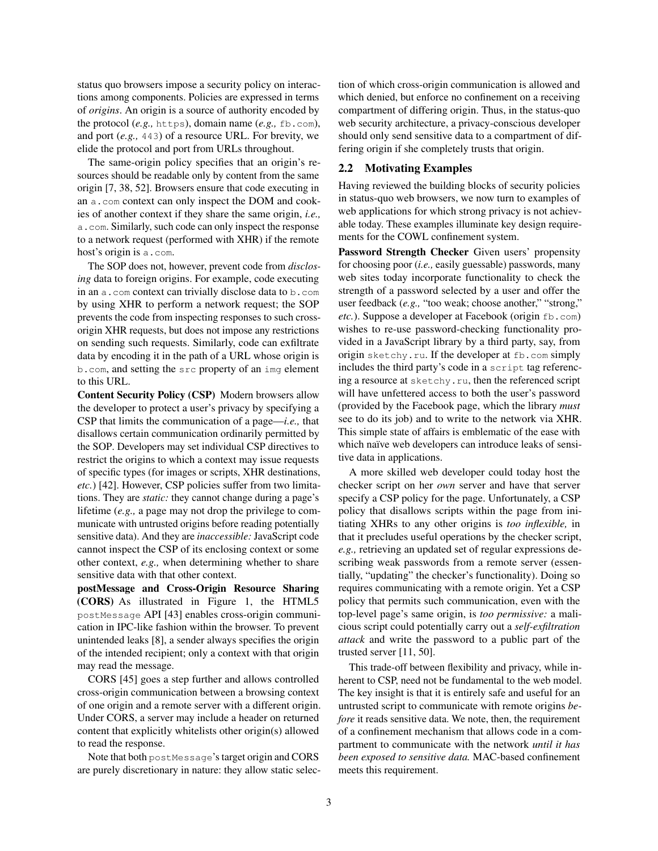status quo browsers impose a security policy on interactions among components. Policies are expressed in terms of *origins*. An origin is a source of authority encoded by the protocol (*e.g.,* https), domain name (*e.g.,* fb.com), and port (*e.g.,* 443) of a resource URL. For brevity, we elide the protocol and port from URLs throughout.

The same-origin policy specifies that an origin's resources should be readable only by content from the same origin [\[7,](#page-14-2) [38,](#page-15-5) [52\]](#page-15-6). Browsers ensure that code executing in an a.com context can only inspect the DOM and cookies of another context if they share the same origin, *i.e.,* a.com. Similarly, such code can only inspect the response to a network request (performed with XHR) if the remote host's origin is a.com.

The SOP does not, however, prevent code from *disclosing* data to foreign origins. For example, code executing in an a.com context can trivially disclose data to b.com by using XHR to perform a network request; the SOP prevents the code from inspecting responses to such crossorigin XHR requests, but does not impose any restrictions on sending such requests. Similarly, code can exfiltrate data by encoding it in the path of a URL whose origin is b.com, and setting the src property of an img element to this URL.

Content Security Policy (CSP) Modern browsers allow the developer to protect a user's privacy by specifying a CSP that limits the communication of a page—*i.e.,* that disallows certain communication ordinarily permitted by the SOP. Developers may set individual CSP directives to restrict the origins to which a context may issue requests of specific types (for images or scripts, XHR destinations, *etc.*) [\[42\]](#page-15-2). However, CSP policies suffer from two limitations. They are *static:* they cannot change during a page's lifetime (*e.g.,* a page may not drop the privilege to communicate with untrusted origins before reading potentially sensitive data). And they are *inaccessible:* JavaScript code cannot inspect the CSP of its enclosing context or some other context, *e.g.,* when determining whether to share sensitive data with that other context.

postMessage and Cross-Origin Resource Sharing (CORS) As illustrated in Figure [1,](#page-1-3) the HTML5 postMessage API [\[43\]](#page-15-7) enables cross-origin communication in IPC-like fashion within the browser. To prevent unintended leaks [\[8\]](#page-14-3), a sender always specifies the origin of the intended recipient; only a context with that origin may read the message.

CORS [\[45\]](#page-15-3) goes a step further and allows controlled cross-origin communication between a browsing context of one origin and a remote server with a different origin. Under CORS, a server may include a header on returned content that explicitly whitelists other origin(s) allowed to read the response.

Note that both postMessage's target origin and CORS are purely discretionary in nature: they allow static selection of which cross-origin communication is allowed and which denied, but enforce no confinement on a receiving compartment of differing origin. Thus, in the status-quo web security architecture, a privacy-conscious developer should only send sensitive data to a compartment of differing origin if she completely trusts that origin.

#### <span id="page-2-0"></span>2.2 Motivating Examples

Having reviewed the building blocks of security policies in status-quo web browsers, we now turn to examples of web applications for which strong privacy is not achievable today. These examples illuminate key design requirements for the COWL confinement system.

Password Strength Checker Given users' propensity for choosing poor (*i.e.,* easily guessable) passwords, many web sites today incorporate functionality to check the strength of a password selected by a user and offer the user feedback (*e.g.,* "too weak; choose another," "strong," *etc.*). Suppose a developer at Facebook (origin fb.com) wishes to re-use password-checking functionality provided in a JavaScript library by a third party, say, from origin sketchy.ru. If the developer at fb.com simply includes the third party's code in a script tag referencing a resource at sketchy.ru, then the referenced script will have unfettered access to both the user's password (provided by the Facebook page, which the library *must* see to do its job) and to write to the network via XHR. This simple state of affairs is emblematic of the ease with which naïve web developers can introduce leaks of sensitive data in applications.

A more skilled web developer could today host the checker script on her *own* server and have that server specify a CSP policy for the page. Unfortunately, a CSP policy that disallows scripts within the page from initiating XHRs to any other origins is *too inflexible,* in that it precludes useful operations by the checker script, *e.g.,* retrieving an updated set of regular expressions describing weak passwords from a remote server (essentially, "updating" the checker's functionality). Doing so requires communicating with a remote origin. Yet a CSP policy that permits such communication, even with the top-level page's same origin, is *too permissive:* a malicious script could potentially carry out a *self-exfiltration attack* and write the password to a public part of the trusted server [\[11,](#page-14-4) [50\]](#page-15-8).

This trade-off between flexibility and privacy, while inherent to CSP, need not be fundamental to the web model. The key insight is that it is entirely safe and useful for an untrusted script to communicate with remote origins *before* it reads sensitive data. We note, then, the requirement of a confinement mechanism that allows code in a compartment to communicate with the network *until it has been exposed to sensitive data.* MAC-based confinement meets this requirement.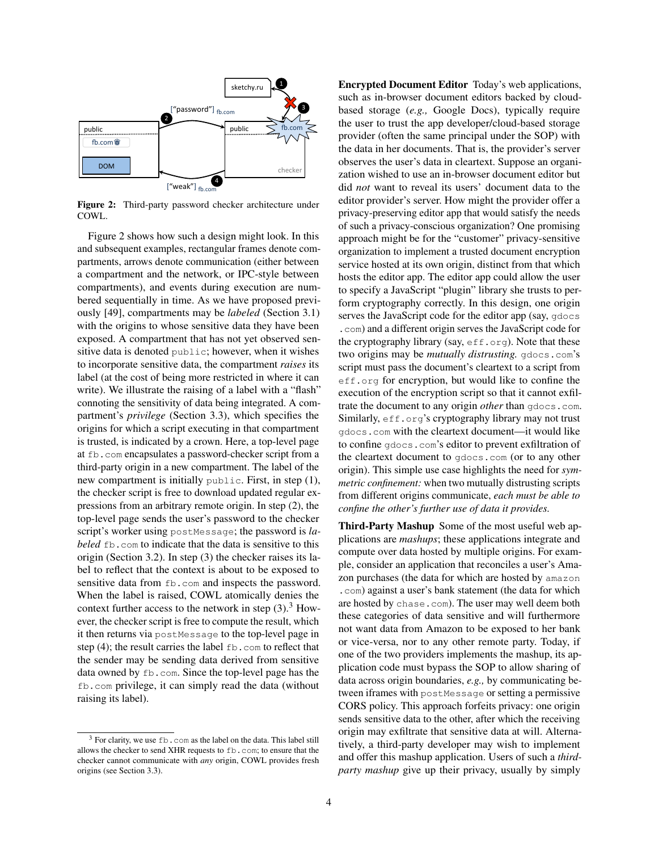<span id="page-3-0"></span>

Figure 2: Third-party password checker architecture under COWL.

Figure [2](#page-3-0) shows how such a design might look. In this and subsequent examples, rectangular frames denote compartments, arrows denote communication (either between a compartment and the network, or IPC-style between compartments), and events during execution are numbered sequentially in time. As we have proposed previously [\[49\]](#page-15-9), compartments may be *labeled* (Section [3.1\)](#page-5-0) with the origins to whose sensitive data they have been exposed. A compartment that has not yet observed sensitive data is denoted public; however, when it wishes to incorporate sensitive data, the compartment *raises* its label (at the cost of being more restricted in where it can write). We illustrate the raising of a label with a "flash" connoting the sensitivity of data being integrated. A compartment's *privilege* (Section [3.3\)](#page-7-1), which specifies the origins for which a script executing in that compartment is trusted, is indicated by a crown. Here, a top-level page at fb.com encapsulates a password-checker script from a third-party origin in a new compartment. The label of the new compartment is initially public. First, in step (1), the checker script is free to download updated regular expressions from an arbitrary remote origin. In step (2), the top-level page sends the user's password to the checker script's worker using postMessage; the password is *labeled*  $\pm$ b.com to indicate that the data is sensitive to this origin (Section [3.2\)](#page-6-0). In step (3) the checker raises its label to reflect that the context is about to be exposed to sensitive data from  $fb$ .com and inspects the password. When the label is raised, COWL atomically denies the context further access to the network in step  $(3)$  $(3)$  $(3)$ .<sup>3</sup> However, the checker script is free to compute the result, which it then returns via postMessage to the top-level page in step (4); the result carries the label fb.com to reflect that the sender may be sending data derived from sensitive data owned by fb.com. Since the top-level page has the fb.com privilege, it can simply read the data (without raising its label).

 $2 \rightarrow 2$  the user to trust the arm daugharalously beset storms. **1 Encrypted Document Editor** Today's web applications.  $3$  based storage (e.g. Google Docs) typically require  $\frac{1}{2}$   $\frac{1}{2}$   $\frac{1}{2}$   $\frac{1}{2}$   $\frac{1}{2}$   $\frac{1}{2}$   $\frac{1}{2}$   $\frac{1}{2}$   $\frac{1}{2}$   $\frac{1}{2}$   $\frac{1}{2}$   $\frac{1}{2}$   $\frac{1}{2}$   $\frac{1}{2}$   $\frac{1}{2}$   $\frac{1}{2}$   $\frac{1}{2}$   $\frac{1}{2}$   $\frac{1}{2}$   $\frac{1}{2}$   $\frac{1}{2}$   $\frac{1}{2}$  Encrypted Document Editor Today's web applications, such as in-browser document editors backed by cloudbased storage (*e.g.,* Google Docs), typically require the user to trust the app developer/cloud-based storage provider (often the same principal under the SOP) with the data in her documents. That is, the provider's server observes the user's data in cleartext. Suppose an organization wished to use an in-browser document editor but did *not* want to reveal its users' document data to the editor provider's server. How might the provider offer a privacy-preserving editor app that would satisfy the needs of such a privacy-conscious organization? One promising approach might be for the "customer" privacy-sensitive organization to implement a trusted document encryption service hosted at its own origin, distinct from that which hosts the editor app. The editor app could allow the user to specify a JavaScript "plugin" library she trusts to perform cryptography correctly. In this design, one origin serves the JavaScript code for the editor app (say, gdocs .com) and a different origin serves the JavaScript code for the cryptography library (say,  $\epsilon$ ff.org). Note that these two origins may be *mutually distrusting.* gdocs.com's script must pass the document's cleartext to a script from eff.org for encryption, but would like to confine the execution of the encryption script so that it cannot exfiltrate the document to any origin *other* than gdocs.com. Similarly, eff.org's cryptography library may not trust gdocs.com with the cleartext document—it would like to confine gdocs.com's editor to prevent exfiltration of the cleartext document to gdocs.com (or to any other origin). This simple use case highlights the need for *symmetric confinement:* when two mutually distrusting scripts from different origins communicate, *each must be able to confine the other's further use of data it provides.*

Third-Party Mashup Some of the most useful web applications are *mashups*; these applications integrate and compute over data hosted by multiple origins. For example, consider an application that reconciles a user's Amazon purchases (the data for which are hosted by amazon .com) against a user's bank statement (the data for which are hosted by chase.com). The user may well deem both these categories of data sensitive and will furthermore not want data from Amazon to be exposed to her bank or vice-versa, nor to any other remote party. Today, if one of the two providers implements the mashup, its application code must bypass the SOP to allow sharing of data across origin boundaries, *e.g.,* by communicating between iframes with postMessage or setting a permissive CORS policy. This approach forfeits privacy: one origin sends sensitive data to the other, after which the receiving origin may exfiltrate that sensitive data at will. Alternatively, a third-party developer may wish to implement and offer this mashup application. Users of such a *thirdparty mashup* give up their privacy, usually by simply

<span id="page-3-1"></span><sup>&</sup>lt;sup>3</sup> For clarity, we use fb.com as the label on the data. This label still allows the checker to send XHR requests to fb.com; to ensure that the checker cannot communicate with *any* origin, COWL provides fresh origins (see Section [3.3\)](#page-7-1).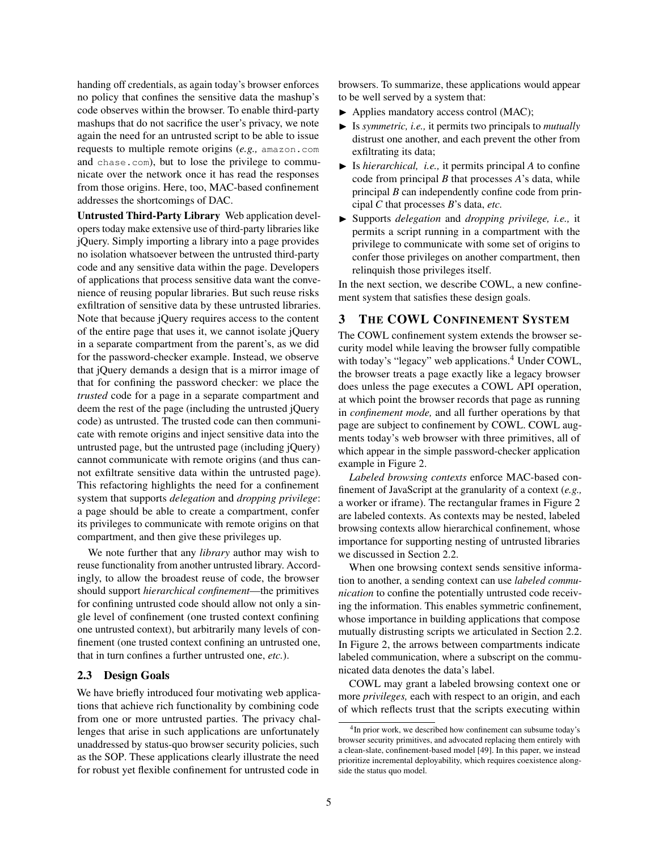handing off credentials, as again today's browser enforces no policy that confines the sensitive data the mashup's code observes within the browser. To enable third-party mashups that do not sacrifice the user's privacy, we note again the need for an untrusted script to be able to issue requests to multiple remote origins (*e.g.,* amazon.com and chase.com), but to lose the privilege to communicate over the network once it has read the responses from those origins. Here, too, MAC-based confinement addresses the shortcomings of DAC.

Untrusted Third-Party Library Web application developers today make extensive use of third-party libraries like jQuery. Simply importing a library into a page provides no isolation whatsoever between the untrusted third-party code and any sensitive data within the page. Developers of applications that process sensitive data want the convenience of reusing popular libraries. But such reuse risks exfiltration of sensitive data by these untrusted libraries. Note that because jQuery requires access to the content of the entire page that uses it, we cannot isolate jQuery in a separate compartment from the parent's, as we did for the password-checker example. Instead, we observe that jQuery demands a design that is a mirror image of that for confining the password checker: we place the *trusted* code for a page in a separate compartment and deem the rest of the page (including the untrusted jQuery code) as untrusted. The trusted code can then communicate with remote origins and inject sensitive data into the untrusted page, but the untrusted page (including jQuery) cannot communicate with remote origins (and thus cannot exfiltrate sensitive data within the untrusted page). This refactoring highlights the need for a confinement system that supports *delegation* and *dropping privilege*: a page should be able to create a compartment, confer its privileges to communicate with remote origins on that compartment, and then give these privileges up.

We note further that any *library* author may wish to reuse functionality from another untrusted library. Accordingly, to allow the broadest reuse of code, the browser should support *hierarchical confinement*—the primitives for confining untrusted code should allow not only a single level of confinement (one trusted context confining one untrusted context), but arbitrarily many levels of confinement (one trusted context confining an untrusted one, that in turn confines a further untrusted one, *etc.*).

### 2.3 Design Goals

We have briefly introduced four motivating web applications that achieve rich functionality by combining code from one or more untrusted parties. The privacy challenges that arise in such applications are unfortunately unaddressed by status-quo browser security policies, such as the SOP. These applications clearly illustrate the need for robust yet flexible confinement for untrusted code in

browsers. To summarize, these applications would appear to be well served by a system that:

- $\blacktriangleright$  Applies mandatory access control (MAC);
- ▶ Is *symmetric, i.e.*, it permits two principals to *mutually* distrust one another, and each prevent the other from exfiltrating its data;
- $\blacktriangleright$  Is *hierarchical, i.e.*, it permits principal *A* to confine code from principal *B* that processes *A*'s data, while principal *B* can independently confine code from principal *C* that processes *B*'s data, *etc.*
- I Supports *delegation* and *dropping privilege, i.e.,* it permits a script running in a compartment with the privilege to communicate with some set of origins to confer those privileges on another compartment, then relinquish those privileges itself.

In the next section, we describe COWL, a new confinement system that satisfies these design goals.

## <span id="page-4-0"></span>3 THE COWL CONFINEMENT SYSTEM

The COWL confinement system extends the browser security model while leaving the browser fully compatible with today's "legacy" web applications.<sup>[4](#page-4-1)</sup> Under COWL, the browser treats a page exactly like a legacy browser does unless the page executes a COWL API operation, at which point the browser records that page as running in *confinement mode,* and all further operations by that page are subject to confinement by COWL. COWL augments today's web browser with three primitives, all of which appear in the simple password-checker application example in Figure [2.](#page-3-0)

*Labeled browsing contexts* enforce MAC-based confinement of JavaScript at the granularity of a context (*e.g.,* a worker or iframe). The rectangular frames in Figure [2](#page-3-0) are labeled contexts. As contexts may be nested, labeled browsing contexts allow hierarchical confinement, whose importance for supporting nesting of untrusted libraries we discussed in Section [2.2.](#page-2-0)

When one browsing context sends sensitive information to another, a sending context can use *labeled communication* to confine the potentially untrusted code receiving the information. This enables symmetric confinement, whose importance in building applications that compose mutually distrusting scripts we articulated in Section [2.2.](#page-2-0) In Figure [2,](#page-3-0) the arrows between compartments indicate labeled communication, where a subscript on the communicated data denotes the data's label.

COWL may grant a labeled browsing context one or more *privileges,* each with respect to an origin, and each of which reflects trust that the scripts executing within

<span id="page-4-1"></span><sup>&</sup>lt;sup>4</sup>In prior work, we described how confinement can subsume today's browser security primitives, and advocated replacing them entirely with a clean-slate, confinement-based model [\[49\]](#page-15-9). In this paper, we instead prioritize incremental deployability, which requires coexistence alongside the status quo model.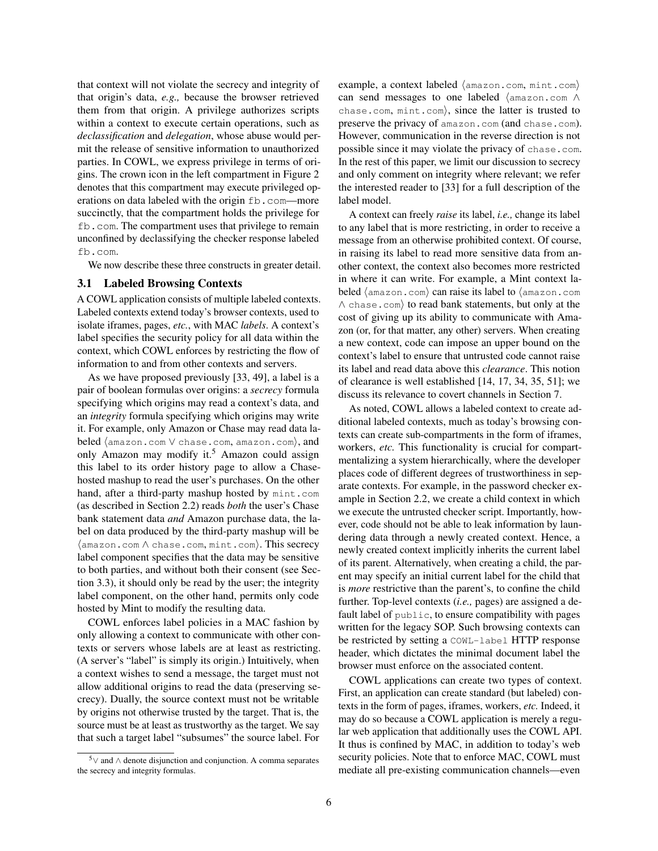that context will not violate the secrecy and integrity of that origin's data, *e.g.,* because the browser retrieved them from that origin. A privilege authorizes scripts within a context to execute certain operations, such as *declassification* and *delegation*, whose abuse would permit the release of sensitive information to unauthorized parties. In COWL, we express privilege in terms of origins. The crown icon in the left compartment in Figure [2](#page-3-0) denotes that this compartment may execute privileged operations on data labeled with the origin fb.com-more succinctly, that the compartment holds the privilege for fb.com. The compartment uses that privilege to remain unconfined by declassifying the checker response labeled fb.com.

We now describe these three constructs in greater detail.

#### <span id="page-5-0"></span>3.1 Labeled Browsing Contexts

A COWL application consists of multiple labeled contexts. Labeled contexts extend today's browser contexts, used to isolate iframes, pages, *etc.*, with MAC *labels*. A context's label specifies the security policy for all data within the context, which COWL enforces by restricting the flow of information to and from other contexts and servers.

As we have proposed previously [\[33,](#page-15-10) [49\]](#page-15-9), a label is a pair of boolean formulas over origins: a *secrecy* formula specifying which origins may read a context's data, and an *integrity* formula specifying which origins may write it. For example, only Amazon or Chase may read data labeled (amazon.com ∨ chase.com, amazon.com), and only Amazon may modify it.<sup>[5](#page-5-1)</sup> Amazon could assign this label to its order history page to allow a Chasehosted mashup to read the user's purchases. On the other hand, after a third-party mashup hosted by mint.com (as described in Section [2.2\)](#page-2-0) reads *both* the user's Chase bank statement data *and* Amazon purchase data, the label on data produced by the third-party mashup will be  $\langle$  amazon.com  $\land$  chase.com, mint.com $\rangle$ . This secrecy label component specifies that the data may be sensitive to both parties, and without both their consent (see Section [3.3\)](#page-7-1), it should only be read by the user; the integrity label component, on the other hand, permits only code hosted by Mint to modify the resulting data.

COWL enforces label policies in a MAC fashion by only allowing a context to communicate with other contexts or servers whose labels are at least as restricting. (A server's "label" is simply its origin.) Intuitively, when a context wishes to send a message, the target must not allow additional origins to read the data (preserving secrecy). Dually, the source context must not be writable by origins not otherwise trusted by the target. That is, the source must be at least as trustworthy as the target. We say that such a target label "subsumes" the source label. For

example, a context labeled  $\langle \text{amazon.com}, \text{mint.com} \rangle$ can send messages to one labeled  $\langle$  amazon.com  $\wedge$ chase.com,  $mint.com$ , since the latter is trusted to preserve the privacy of amazon.com (and chase.com). However, communication in the reverse direction is not possible since it may violate the privacy of chase.com. In the rest of this paper, we limit our discussion to secrecy and only comment on integrity where relevant; we refer the interested reader to [\[33\]](#page-15-10) for a full description of the label model.

A context can freely *raise* its label, *i.e.,* change its label to any label that is more restricting, in order to receive a message from an otherwise prohibited context. Of course, in raising its label to read more sensitive data from another context, the context also becomes more restricted in where it can write. For example, a Mint context labeled  $\langle$  amazon.com $\rangle$  can raise its label to  $\langle$  amazon.com  $\land$  chase.com $\rangle$  to read bank statements, but only at the cost of giving up its ability to communicate with Amazon (or, for that matter, any other) servers. When creating a new context, code can impose an upper bound on the context's label to ensure that untrusted code cannot raise its label and read data above this *clearance*. This notion of clearance is well established [\[14,](#page-14-5) [17,](#page-14-6) [34,](#page-15-11) [35,](#page-15-12) [51\]](#page-15-13); we discuss its relevance to covert channels in Section [7.](#page-11-0)

As noted, COWL allows a labeled context to create additional labeled contexts, much as today's browsing contexts can create sub-compartments in the form of iframes, workers, *etc.* This functionality is crucial for compartmentalizing a system hierarchically, where the developer places code of different degrees of trustworthiness in separate contexts. For example, in the password checker example in Section [2.2,](#page-2-0) we create a child context in which we execute the untrusted checker script. Importantly, however, code should not be able to leak information by laundering data through a newly created context. Hence, a newly created context implicitly inherits the current label of its parent. Alternatively, when creating a child, the parent may specify an initial current label for the child that is *more* restrictive than the parent's, to confine the child further. Top-level contexts (*i.e.,* pages) are assigned a default label of public, to ensure compatibility with pages written for the legacy SOP. Such browsing contexts can be restricted by setting a COWL-label HTTP response header, which dictates the minimal document label the browser must enforce on the associated content.

COWL applications can create two types of context. First, an application can create standard (but labeled) contexts in the form of pages, iframes, workers, *etc.* Indeed, it may do so because a COWL application is merely a regular web application that additionally uses the COWL API. It thus is confined by MAC, in addition to today's web security policies. Note that to enforce MAC, COWL must mediate all pre-existing communication channels—even

<span id="page-5-1"></span><sup>&</sup>lt;sup>5</sup>∨ and  $\land$  denote disjunction and conjunction. A comma separates the secrecy and integrity formulas.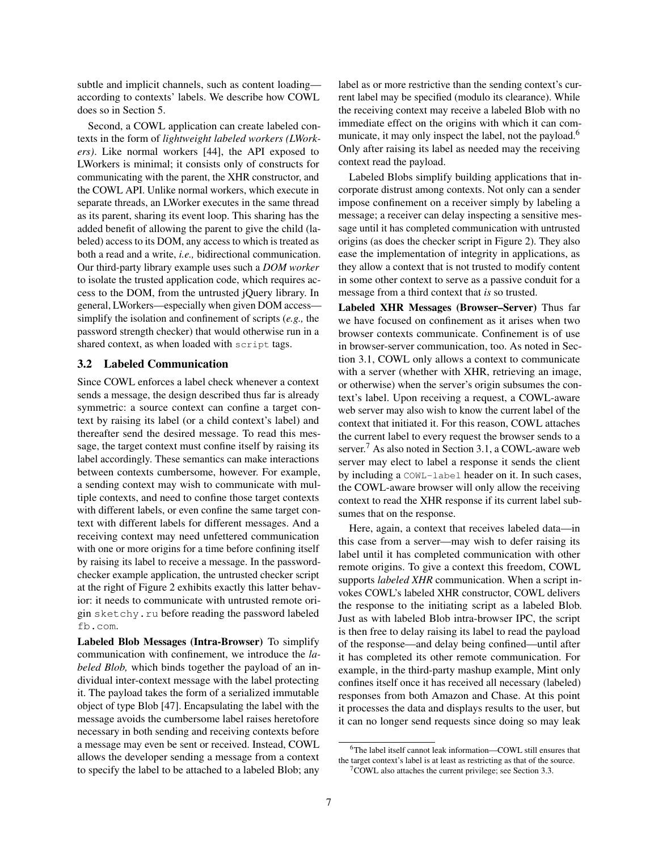subtle and implicit channels, such as content loading according to contexts' labels. We describe how COWL does so in Section [5.](#page-9-0)

Second, a COWL application can create labeled contexts in the form of *lightweight labeled workers (LWorkers)*. Like normal workers [\[44\]](#page-15-4), the API exposed to LWorkers is minimal; it consists only of constructs for communicating with the parent, the XHR constructor, and the COWL API. Unlike normal workers, which execute in separate threads, an LWorker executes in the same thread as its parent, sharing its event loop. This sharing has the added benefit of allowing the parent to give the child (labeled) access to its DOM, any access to which is treated as both a read and a write, *i.e.,* bidirectional communication. Our third-party library example uses such a *DOM worker* to isolate the trusted application code, which requires access to the DOM, from the untrusted jQuery library. In general, LWorkers—especially when given DOM access simplify the isolation and confinement of scripts (*e.g.,* the password strength checker) that would otherwise run in a shared context, as when loaded with script tags.

#### <span id="page-6-0"></span>3.2 Labeled Communication

Since COWL enforces a label check whenever a context sends a message, the design described thus far is already symmetric: a source context can confine a target context by raising its label (or a child context's label) and thereafter send the desired message. To read this message, the target context must confine itself by raising its label accordingly. These semantics can make interactions between contexts cumbersome, however. For example, a sending context may wish to communicate with multiple contexts, and need to confine those target contexts with different labels, or even confine the same target context with different labels for different messages. And a receiving context may need unfettered communication with one or more origins for a time before confining itself by raising its label to receive a message. In the passwordchecker example application, the untrusted checker script at the right of Figure [2](#page-3-0) exhibits exactly this latter behavior: it needs to communicate with untrusted remote origin sketchy.ru before reading the password labeled fb.com.

Labeled Blob Messages (Intra-Browser) To simplify communication with confinement, we introduce the *labeled Blob,* which binds together the payload of an individual inter-context message with the label protecting it. The payload takes the form of a serialized immutable object of type Blob [\[47\]](#page-15-1). Encapsulating the label with the message avoids the cumbersome label raises heretofore necessary in both sending and receiving contexts before a message may even be sent or received. Instead, COWL allows the developer sending a message from a context to specify the label to be attached to a labeled Blob; any

label as or more restrictive than the sending context's current label may be specified (modulo its clearance). While the receiving context may receive a labeled Blob with no immediate effect on the origins with which it can com-municate, it may only inspect the label, not the payload.<sup>[6](#page-6-1)</sup> Only after raising its label as needed may the receiving context read the payload.

Labeled Blobs simplify building applications that incorporate distrust among contexts. Not only can a sender impose confinement on a receiver simply by labeling a message; a receiver can delay inspecting a sensitive message until it has completed communication with untrusted origins (as does the checker script in Figure [2\)](#page-3-0). They also ease the implementation of integrity in applications, as they allow a context that is not trusted to modify content in some other context to serve as a passive conduit for a message from a third context that *is* so trusted.

Labeled XHR Messages (Browser–Server) Thus far we have focused on confinement as it arises when two browser contexts communicate. Confinement is of use in browser-server communication, too. As noted in Section [3.1,](#page-5-0) COWL only allows a context to communicate with a server (whether with XHR, retrieving an image, or otherwise) when the server's origin subsumes the context's label. Upon receiving a request, a COWL-aware web server may also wish to know the current label of the context that initiated it. For this reason, COWL attaches the current label to every request the browser sends to a server.<sup>[7](#page-6-2)</sup> As also noted in Section [3.1,](#page-5-0) a COWL-aware web server may elect to label a response it sends the client by including a COWL-label header on it. In such cases, the COWL-aware browser will only allow the receiving context to read the XHR response if its current label subsumes that on the response.

Here, again, a context that receives labeled data—in this case from a server—may wish to defer raising its label until it has completed communication with other remote origins. To give a context this freedom, COWL supports *labeled XHR* communication. When a script invokes COWL's labeled XHR constructor, COWL delivers the response to the initiating script as a labeled Blob. Just as with labeled Blob intra-browser IPC, the script is then free to delay raising its label to read the payload of the response—and delay being confined—until after it has completed its other remote communication. For example, in the third-party mashup example, Mint only confines itself once it has received all necessary (labeled) responses from both Amazon and Chase. At this point it processes the data and displays results to the user, but it can no longer send requests since doing so may leak

<span id="page-6-1"></span><sup>6</sup>The label itself cannot leak information—COWL still ensures that the target context's label is at least as restricting as that of the source.

<span id="page-6-2"></span> $7$ COWL also attaches the current privilege; see Section [3.3.](#page-7-1)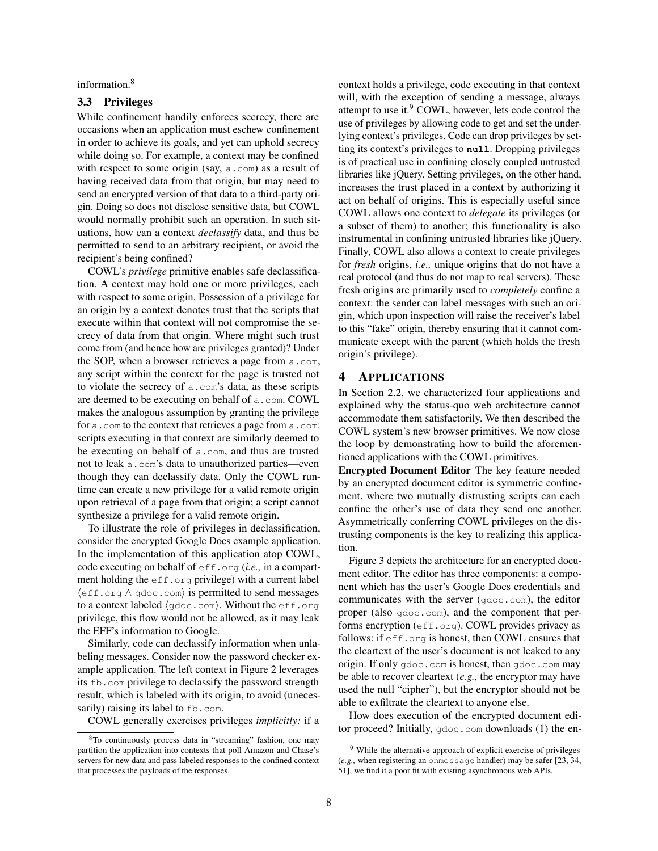information.[8](#page-7-2)

## <span id="page-7-1"></span>3.3 Privileges

While confinement handily enforces secrecy, there are occasions when an application must eschew confinement in order to achieve its goals, and yet can uphold secrecy while doing so. For example, a context may be confined with respect to some origin (say, a.com) as a result of having received data from that origin, but may need to send an encrypted version of that data to a third-party origin. Doing so does not disclose sensitive data, but COWL would normally prohibit such an operation. In such situations, how can a context *declassify* data, and thus be permitted to send to an arbitrary recipient, or avoid the recipient's being confined?

COWL's *privilege* primitive enables safe declassification. A context may hold one or more privileges, each with respect to some origin. Possession of a privilege for an origin by a context denotes trust that the scripts that execute within that context will not compromise the secrecy of data from that origin. Where might such trust come from (and hence how are privileges granted)? Under the SOP, when a browser retrieves a page from a.com, any script within the context for the page is trusted not to violate the secrecy of a.com's data, as these scripts are deemed to be executing on behalf of a.com. COWL makes the analogous assumption by granting the privilege for a.com to the context that retrieves a page from a.com: scripts executing in that context are similarly deemed to be executing on behalf of a.com, and thus are trusted not to leak a.com's data to unauthorized parties—even though they can declassify data. Only the COWL runtime can create a new privilege for a valid remote origin upon retrieval of a page from that origin; a script cannot synthesize a privilege for a valid remote origin.

To illustrate the role of privileges in declassification, consider the encrypted Google Docs example application. In the implementation of this application atop COWL, code executing on behalf of eff.org (*i.e.,* in a compartment holding the eff.org privilege) with a current label  $\langle \text{eff.org} \land \text{gdoc.com} \rangle$  is permitted to send messages to a context labeled  $\langle$  gdoc.com $\rangle$ . Without the eff.org privilege, this flow would not be allowed, as it may leak the EFF's information to Google.

Similarly, code can declassify information when unlabeling messages. Consider now the password checker example application. The left context in Figure [2](#page-3-0) leverages its fb.com privilege to declassify the password strength result, which is labeled with its origin, to avoid (unecessarily) raising its label to fb.com.

COWL generally exercises privileges *implicitly:* if a

context holds a privilege, code executing in that context will, with the exception of sending a message, always attempt to use it. $9$  COWL, however, lets code control the use of privileges by allowing code to get and set the underlying context's privileges. Code can drop privileges by setting its context's privileges to **null**. Dropping privileges is of practical use in confining closely coupled untrusted libraries like jQuery. Setting privileges, on the other hand, increases the trust placed in a context by authorizing it act on behalf of origins. This is especially useful since COWL allows one context to *delegate* its privileges (or a subset of them) to another; this functionality is also instrumental in confining untrusted libraries like jQuery. Finally, COWL also allows a context to create privileges for *fresh* origins, *i.e.,* unique origins that do not have a real protocol (and thus do not map to real servers). These fresh origins are primarily used to *completely* confine a context: the sender can label messages with such an origin, which upon inspection will raise the receiver's label to this "fake" origin, thereby ensuring that it cannot communicate except with the parent (which holds the fresh origin's privilege).

#### <span id="page-7-0"></span>4 APPLICATIONS

In Section [2.2,](#page-2-0) we characterized four applications and explained why the status-quo web architecture cannot accommodate them satisfactorily. We then described the COWL system's new browser primitives. We now close the loop by demonstrating how to build the aforementioned applications with the COWL primitives.

Encrypted Document Editor The key feature needed by an encrypted document editor is symmetric confinement, where two mutually distrusting scripts can each confine the other's use of data they send one another. Asymmetrically conferring COWL privileges on the distrusting components is the key to realizing this application.

Figure [3](#page-8-0) depicts the architecture for an encrypted document editor. The editor has three components: a component which has the user's Google Docs credentials and communicates with the server (gdoc.com), the editor proper (also gdoc.com), and the component that performs encryption (eff.org). COWL provides privacy as follows: if eff.org is honest, then COWL ensures that the cleartext of the user's document is not leaked to any origin. If only gdoc.com is honest, then gdoc.com may be able to recover cleartext (*e.g.,* the encryptor may have used the null "cipher"), but the encryptor should not be able to exfiltrate the cleartext to anyone else.

How does execution of the encrypted document editor proceed? Initially, gdoc.com downloads (1) the en-

<span id="page-7-2"></span><sup>8</sup>To continuously process data in "streaming" fashion, one may partition the application into contexts that poll Amazon and Chase's servers for new data and pass labeled responses to the confined context that processes the payloads of the responses.

<span id="page-7-3"></span><sup>&</sup>lt;sup>9</sup> While the alternative approach of explicit exercise of privileges (*e.g.,* when registering an onmessage handler) may be safer [\[23,](#page-14-7) [34,](#page-15-11) [51\]](#page-15-13), we find it a poor fit with existing asynchronous web APIs.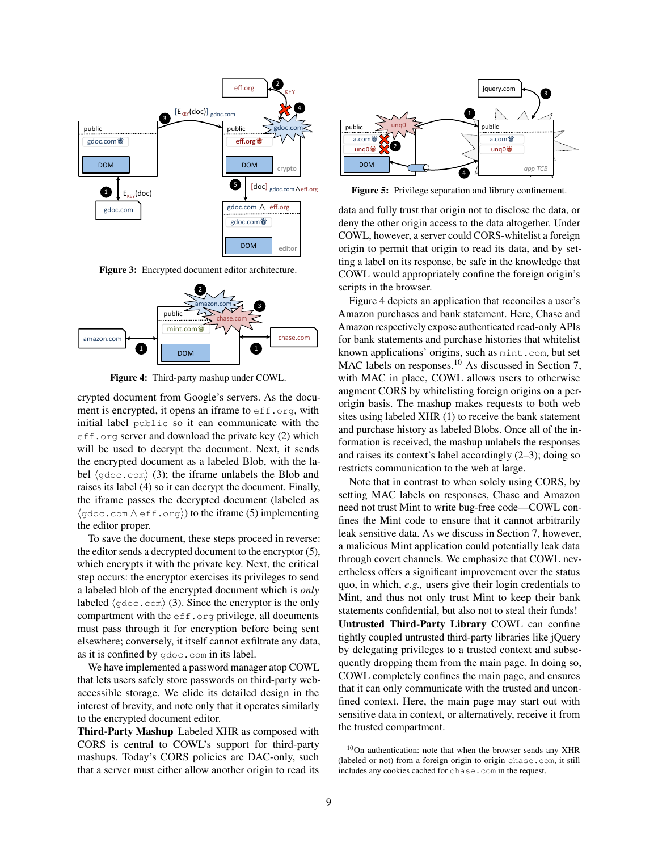<span id="page-8-0"></span>

Figure 3: Encrypted document editor architecture.

<span id="page-8-1"></span>

Figure 4: Third-party mashup under COWL.

crypted document from Google's servers. As the document is encrypted, it opens an iframe to  $eff.$  org, with initial label public so it can communicate with the eff.org server and download the private key (2) which will be used to decrypt the document. Next, it sends the encrypted document as a labeled Blob, with the label  $\langle$ gdoc.com $\rangle$  (3); the iframe unlabels the Blob and raises its label (4) so it can decrypt the document. Finally, the iframe passes the decrypted document (labeled as  $\langle \text{qdoc.com} \wedge \text{eff.org} \rangle$  to the iframe (5) implementing the editor proper.

To save the document, these steps proceed in reverse: the editor sends a decrypted document to the encryptor (5), which encrypts it with the private key. Next, the critical step occurs: the encryptor exercises its privileges to send a labeled blob of the encrypted document which is *only* labeled  $\langle$  gdoc.com $\rangle$  (3). Since the encryptor is the only compartment with the  $eff.org$  privilege, all documents must pass through it for encryption before being sent elsewhere; conversely, it itself cannot exfiltrate any data, as it is confined by gdoc.com in its label.

We have implemented a password manager atop COWL that lets users safely store passwords on third-party webaccessible storage. We elide its detailed design in the interest of brevity, and note only that it operates similarly to the encrypted document editor.

Third-Party Mashup Labeled XHR as composed with CORS is central to COWL's support for third-party mashups. Today's CORS policies are DAC-only, such that a server must either allow another origin to read its



<span id="page-8-3"></span>Figure 5: Privilege separation and library confinement.

 $2$ ,  $\lambda$  scripts in the browser. data and fully trust that origin not to disclose the data, or deny the other origin access to the data altogether. Under COWL, however, a server could CORS-whitelist a foreign origin to permit that origin to read its data, and by setting a label on its response, be safe in the knowledge that COWL would appropriately confine the foreign origin's scripts in the browser.

 $\frac{1}{3}$   $\frac{1}{2}$   $\frac{1}{2}$   $\frac{1}{2}$   $\frac{1}{2}$   $\frac{1}{2}$   $\frac{1}{2}$   $\frac{1}{2}$   $\frac{1}{2}$   $\frac{1}{2}$   $\frac{1}{2}$   $\frac{1}{2}$   $\frac{1}{2}$   $\frac{1}{2}$   $\frac{1}{2}$   $\frac{1}{2}$   $\frac{1}{2}$   $\frac{1}{2}$   $\frac{1}{2}$   $\frac{1}{2}$   $\frac{1}{2}$   $\frac{1}{2}$   $\blacksquare$   $\blacksquare$   $\blacksquare$   $\blacksquare$   $\blacksquare$   $\blacksquare$   $\blacksquare$   $\blacksquare$   $\blacksquare$   $\blacksquare$   $\blacksquare$   $\blacksquare$   $\blacksquare$   $\blacksquare$   $\blacksquare$   $\blacksquare$   $\blacksquare$   $\blacksquare$   $\blacksquare$   $\blacksquare$   $\blacksquare$   $\blacksquare$   $\blacksquare$   $\blacksquare$   $\blacksquare$   $\blacksquare$   $\blacksquare$   $\blacksquare$   $\blacksquare$   $\blacksquare$   $\blacksquare$   $\blacks$  $\blacksquare$  2  $\blacksquare$  2  $\blacksquare$  2  $\blacksquare$  2  $\blacksquare$  2  $\blacksquare$  2  $\blacksquare$  2  $\blacksquare$  2  $\blacksquare$  2  $\blacksquare$  2  $\blacksquare$  2  $\blacksquare$  2  $\blacksquare$  2  $\blacksquare$  2  $\blacksquare$  2  $\blacksquare$  2  $\blacksquare$  2  $\blacksquare$  2  $\blacksquare$  2  $\blacksquare$  2  $\blacksquare$  2  $\blacksquare$  2  $\blacksquare$  2  $\blacksquare$  2  $\blacksquare$ Figure [4](#page-8-1) depicts an application that reconciles a user's Amazon purchases and bank statement. Here, Chase and Amazon respectively expose authenticated read-only APIs for bank statements and purchase histories that whitelist known applications' origins, such as mint.com, but set MAC labels on responses.<sup>[10](#page-8-2)</sup> As discussed in Section [7,](#page-11-0) with MAC in place, COWL allows users to otherwise augment CORS by whitelisting foreign origins on a perorigin basis. The mashup makes requests to both web sites using labeled XHR (1) to receive the bank statement and purchase history as labeled Blobs. Once all of the information is received, the mashup unlabels the responses and raises its context's label accordingly (2–3); doing so restricts communication to the web at large.

Note that in contrast to when solely using CORS, by setting MAC labels on responses, Chase and Amazon need not trust Mint to write bug-free code—COWL confines the Mint code to ensure that it cannot arbitrarily leak sensitive data. As we discuss in Section [7,](#page-11-0) however, a malicious Mint application could potentially leak data through covert channels. We emphasize that COWL nevertheless offers a significant improvement over the status quo, in which, *e.g.,* users give their login credentials to Mint, and thus not only trust Mint to keep their bank statements confidential, but also not to steal their funds! Untrusted Third-Party Library COWL can confine tightly coupled untrusted third-party libraries like jQuery by delegating privileges to a trusted context and subsequently dropping them from the main page. In doing so, COWL completely confines the main page, and ensures that it can only communicate with the trusted and unconfined context. Here, the main page may start out with sensitive data in context, or alternatively, receive it from the trusted compartment.

<span id="page-8-2"></span><sup>10</sup>On authentication: note that when the browser sends any XHR (labeled or not) from a foreign origin to origin chase.com, it still includes any cookies cached for chase.com in the request.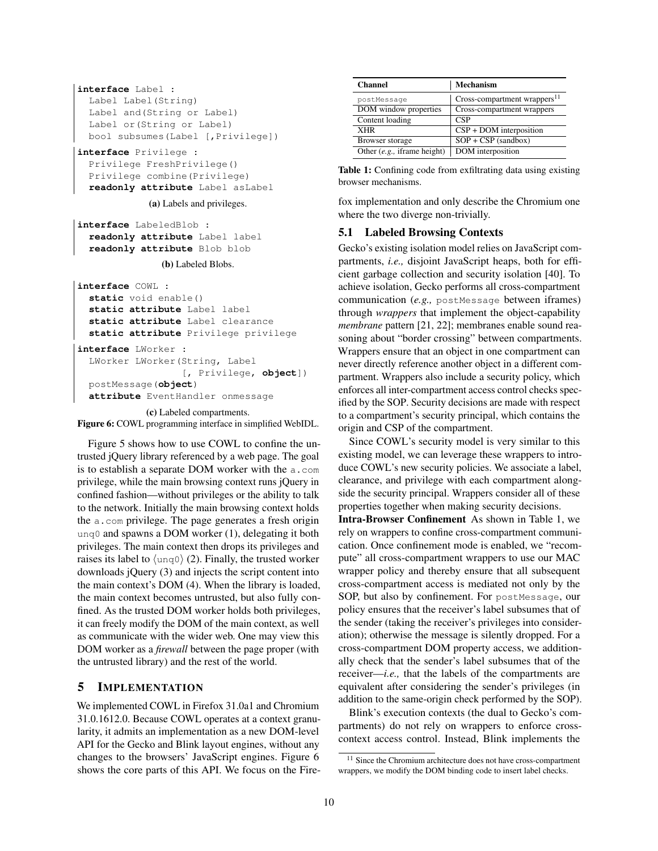```
interface Label :
  Label Label(String)
  Label and(String or Label)
  Label or(String or Label)
  bool subsumes(Label [,Privilege])
interface Privilege :
```
Privilege FreshPrivilege() Privilege combine(Privilege) **readonly attribute** Label asLabel

(a) Labels and privileges.

```
interface LabeledBlob :
 readonly attribute Label label
 readonly attribute Blob blob
```
(b) Labeled Blobs.

```
interface COWL :
  static void enable()
  static attribute Label label
  static attribute Label clearance
  static attribute Privilege privilege
interface LWorker :
  LWorker LWorker(String, Label
                  [, Privilege, object])
  postMessage(object)
  attribute EventHandler onmessage
```
(c) Labeled compartments.

Figure 6: COWL programming interface in simplified WebIDL.

Figure [5](#page-8-3) shows how to use COWL to confine the untrusted jQuery library referenced by a web page. The goal is to establish a separate DOM worker with the a.com privilege, while the main browsing context runs jQuery in confined fashion—without privileges or the ability to talk to the network. Initially the main browsing context holds the a.com privilege. The page generates a fresh origin unq0 and spawns a DOM worker (1), delegating it both privileges. The main context then drops its privileges and raises its label to  $\langle \text{unq0} \rangle$  (2). Finally, the trusted worker downloads jQuery (3) and injects the script content into the main context's DOM (4). When the library is loaded, the main context becomes untrusted, but also fully confined. As the trusted DOM worker holds both privileges, it can freely modify the DOM of the main context, as well as communicate with the wider web. One may view this DOM worker as a *firewall* between the page proper (with the untrusted library) and the rest of the world.

## <span id="page-9-0"></span>5 IMPLEMENTATION

We implemented COWL in Firefox 31.0a1 and Chromium 31.0.1612.0. Because COWL operates at a context granularity, it admits an implementation as a new DOM-level API for the Gecko and Blink layout engines, without any changes to the browsers' JavaScript engines. Figure [6](#page-9-1) shows the core parts of this API. We focus on the Fire-

<span id="page-9-3"></span>

| <b>Channel</b>                 | Mechanism                                |
|--------------------------------|------------------------------------------|
| postMessage                    | Cross-compartment wrappers <sup>11</sup> |
| DOM window properties          | Cross-compartment wrappers               |
| Content loading                | <b>CSP</b>                               |
| <b>XHR</b>                     | $CSP + DOM$ interposition                |
| Browser storage                | $SOP + CSP$ (sandbox)                    |
| Other $(e.g.,$ if rame height) | DOM interposition                        |

| Table 1: Confining code from exfiltrating data using existing |  |  |
|---------------------------------------------------------------|--|--|
| browser mechanisms.                                           |  |  |

fox implementation and only describe the Chromium one where the two diverge non-trivially.

### 5.1 Labeled Browsing Contexts

Gecko's existing isolation model relies on JavaScript compartments, *i.e.,* disjoint JavaScript heaps, both for efficient garbage collection and security isolation [\[40\]](#page-15-14). To achieve isolation, Gecko performs all cross-compartment communication (*e.g.,* postMessage between iframes) through *wrappers* that implement the object-capability *membrane* pattern [\[21,](#page-14-8) [22\]](#page-14-9); membranes enable sound reasoning about "border crossing" between compartments. Wrappers ensure that an object in one compartment can never directly reference another object in a different compartment. Wrappers also include a security policy, which enforces all inter-compartment access control checks specified by the SOP. Security decisions are made with respect to a compartment's security principal, which contains the origin and CSP of the compartment.

Since COWL's security model is very similar to this existing model, we can leverage these wrappers to introduce COWL's new security policies. We associate a label, clearance, and privilege with each compartment alongside the security principal. Wrappers consider all of these properties together when making security decisions.

Intra-Browser Confinement As shown in Table [1,](#page-9-3) we rely on wrappers to confine cross-compartment communication. Once confinement mode is enabled, we "recompute" all cross-compartment wrappers to use our MAC wrapper policy and thereby ensure that all subsequent cross-compartment access is mediated not only by the SOP, but also by confinement. For postMessage, our policy ensures that the receiver's label subsumes that of the sender (taking the receiver's privileges into consideration); otherwise the message is silently dropped. For a cross-compartment DOM property access, we additionally check that the sender's label subsumes that of the receiver—*i.e.,* that the labels of the compartments are equivalent after considering the sender's privileges (in addition to the same-origin check performed by the SOP).

Blink's execution contexts (the dual to Gecko's compartments) do not rely on wrappers to enforce crosscontext access control. Instead, Blink implements the

<span id="page-9-2"></span><sup>&</sup>lt;sup>11</sup> Since the Chromium architecture does not have cross-compartment wrappers, we modify the DOM binding code to insert label checks.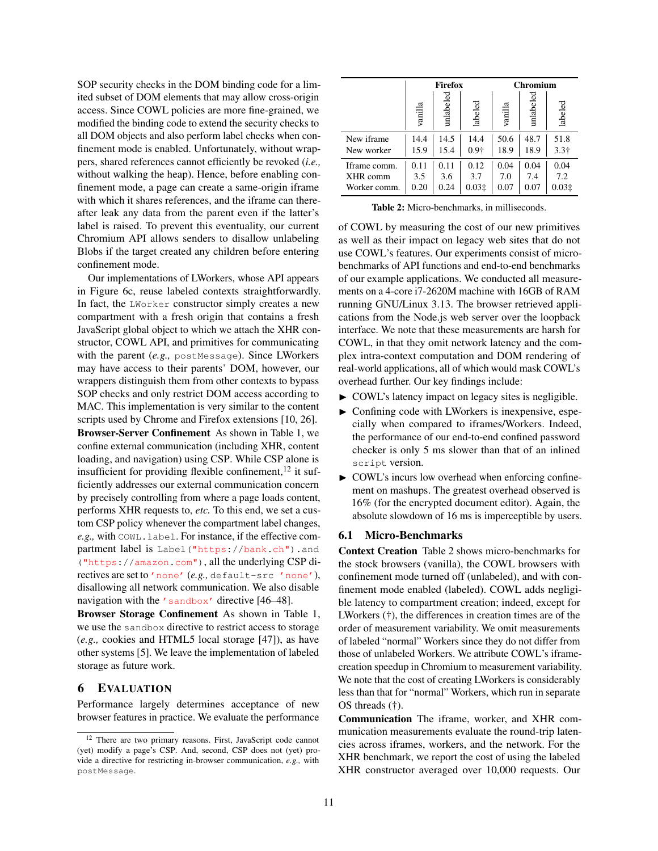SOP security checks in the DOM binding code for a limited subset of DOM elements that may allow cross-origin access. Since COWL policies are more fine-grained, we modified the binding code to extend the security checks to all DOM objects and also perform label checks when confinement mode is enabled. Unfortunately, without wrappers, shared references cannot efficiently be revoked (*i.e.,* without walking the heap). Hence, before enabling confinement mode, a page can create a same-origin iframe with which it shares references, and the iframe can thereafter leak any data from the parent even if the latter's label is raised. To prevent this eventuality, our current Chromium API allows senders to disallow unlabeling Blobs if the target created any children before entering confinement mode.

Our implementations of LWorkers, whose API appears in Figure [6c,](#page-9-1) reuse labeled contexts straightforwardly. In fact, the LWorker constructor simply creates a new compartment with a fresh origin that contains a fresh JavaScript global object to which we attach the XHR constructor, COWL API, and primitives for communicating with the parent (*e.g.*, postMessage). Since LWorkers may have access to their parents' DOM, however, our wrappers distinguish them from other contexts to bypass SOP checks and only restrict DOM access according to MAC. This implementation is very similar to the content scripts used by Chrome and Firefox extensions [\[10,](#page-14-10) [26\]](#page-14-11). Browser-Server Confinement As shown in Table [1,](#page-9-3) we confine external communication (including XHR, content loading, and navigation) using CSP. While CSP alone is insufficient for providing flexible confinement, $^{12}$  $^{12}$  $^{12}$  it sufficiently addresses our external communication concern by precisely controlling from where a page loads content, performs XHR requests to, *etc.* To this end, we set a custom CSP policy whenever the compartment label changes, *e.g.,* with COWL.label. For instance, if the effective compartment label is Label ("https://bank.ch").and ("https://amazon.com"), all the underlying CSP directives are set to 'none' (*e.g.,* default-src 'none'), disallowing all network communication. We also disable navigation with the 'sandbox' directive [\[46](#page-15-15)[–48\]](#page-15-16).

Browser Storage Confinement As shown in Table [1,](#page-9-3) we use the sandbox directive to restrict access to storage (*e.g.,* cookies and HTML5 local storage [\[47\]](#page-15-1)), as have other systems [\[5\]](#page-14-12). We leave the implementation of labeled storage as future work.

## <span id="page-10-0"></span>6 EVALUATION

Performance largely determines acceptance of new browser features in practice. We evaluate the performance

<span id="page-10-2"></span>

|              | Firefox |           |         | <b>Chromium</b> |              |              |
|--------------|---------|-----------|---------|-----------------|--------------|--------------|
|              | vanilla | unlabeled | labeled | vanilla         | ु<br>unlabel | labeled      |
| New iframe   | 14.4    | 14.5      | 14.4    | 50.6            | 48.7         | 51.8         |
| New worker   | 15.9    | 15.4      | $0.9+$  | 18.9            | 18.9         | $3.3\dagger$ |
| Iframe comm. | 0.11    | 0.11      | 0.12    | 0.04            | 0.04         | 0.04         |
| XHR comm     | 3.5     | 3.6       | 3.7     | 7.0             | 7.4          | 7.2          |
| Worker comm. | 0.20    | 0.24      | 0.031   | 0.07            | 0.07         | 0.031        |

Table 2: Micro-benchmarks, in milliseconds.

of COWL by measuring the cost of our new primitives as well as their impact on legacy web sites that do not use COWL's features. Our experiments consist of microbenchmarks of API functions and end-to-end benchmarks of our example applications. We conducted all measurements on a 4-core i7-2620M machine with 16GB of RAM running GNU/Linux 3.13. The browser retrieved applications from the Node.js web server over the loopback interface. We note that these measurements are harsh for COWL, in that they omit network latency and the complex intra-context computation and DOM rendering of real-world applications, all of which would mask COWL's overhead further. Our key findings include:

- $\triangleright$  COWL's latency impact on legacy sites is negligible.
- $\triangleright$  Confining code with LWorkers is inexpensive, especially when compared to iframes/Workers. Indeed, the performance of our end-to-end confined password checker is only 5 ms slower than that of an inlined script version.
- $\triangleright$  COWL's incurs low overhead when enforcing confinement on mashups. The greatest overhead observed is 16% (for the encrypted document editor). Again, the absolute slowdown of 16 ms is imperceptible by users.

#### 6.1 Micro-Benchmarks

Context Creation Table [2](#page-10-2) shows micro-benchmarks for the stock browsers (vanilla), the COWL browsers with confinement mode turned off (unlabeled), and with confinement mode enabled (labeled). COWL adds negligible latency to compartment creation; indeed, except for LWorkers (†), the differences in creation times are of the order of measurement variability. We omit measurements of labeled "normal" Workers since they do not differ from those of unlabeled Workers. We attribute COWL's iframecreation speedup in Chromium to measurement variability. We note that the cost of creating LWorkers is considerably less than that for "normal" Workers, which run in separate OS threads (†).

Communication The iframe, worker, and XHR communication measurements evaluate the round-trip latencies across iframes, workers, and the network. For the XHR benchmark, we report the cost of using the labeled XHR constructor averaged over 10,000 requests. Our

<span id="page-10-1"></span><sup>12</sup> There are two primary reasons. First, JavaScript code cannot (yet) modify a page's CSP. And, second, CSP does not (yet) provide a directive for restricting in-browser communication, *e.g.,* with postMessage.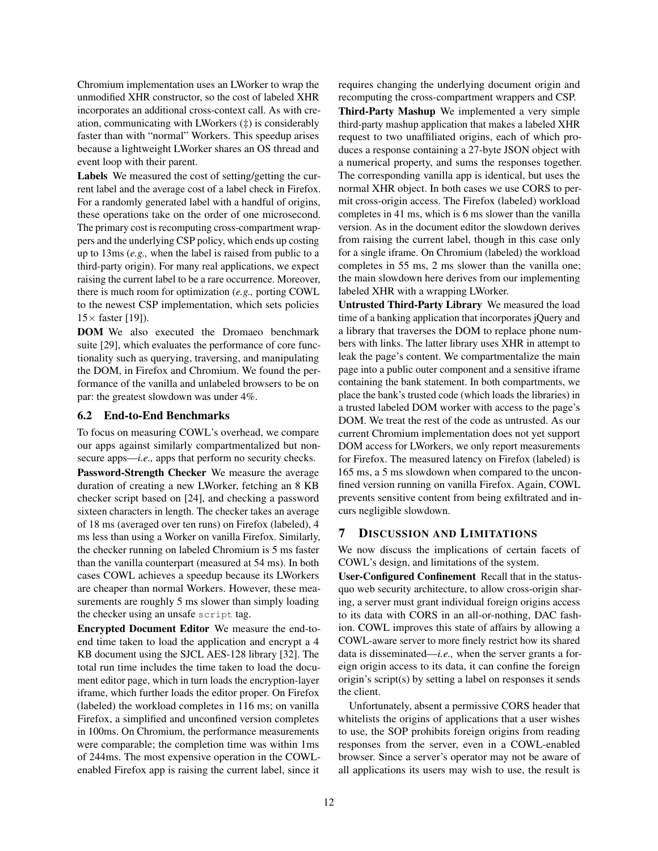Chromium implementation uses an LWorker to wrap the unmodified XHR constructor, so the cost of labeled XHR incorporates an additional cross-context call. As with creation, communicating with LWorkers (‡) is considerably faster than with "normal" Workers. This speedup arises because a lightweight LWorker shares an OS thread and event loop with their parent.

Labels We measured the cost of setting/getting the current label and the average cost of a label check in Firefox. For a randomly generated label with a handful of origins, these operations take on the order of one microsecond. The primary cost is recomputing cross-compartment wrappers and the underlying CSP policy, which ends up costing up to 13ms (*e.g.,* when the label is raised from public to a third-party origin). For many real applications, we expect raising the current label to be a rare occurrence. Moreover, there is much room for optimization (*e.g.,* porting COWL to the newest CSP implementation, which sets policies  $15\times$  faster [\[19\]](#page-14-13)).

DOM We also executed the Dromaeo benchmark suite [\[29\]](#page-14-14), which evaluates the performance of core functionality such as querying, traversing, and manipulating the DOM, in Firefox and Chromium. We found the performance of the vanilla and unlabeled browsers to be on par: the greatest slowdown was under 4%.

## 6.2 End-to-End Benchmarks

To focus on measuring COWL's overhead, we compare our apps against similarly compartmentalized but nonsecure apps—*i.e.*, apps that perform no security checks. Password-Strength Checker We measure the average duration of creating a new LWorker, fetching an 8 KB checker script based on [\[24\]](#page-14-15), and checking a password sixteen characters in length. The checker takes an average of 18 ms (averaged over ten runs) on Firefox (labeled), 4 ms less than using a Worker on vanilla Firefox. Similarly, the checker running on labeled Chromium is 5 ms faster than the vanilla counterpart (measured at 54 ms). In both cases COWL achieves a speedup because its LWorkers are cheaper than normal Workers. However, these measurements are roughly 5 ms slower than simply loading the checker using an unsafe script tag.

Encrypted Document Editor We measure the end-toend time taken to load the application and encrypt a 4 KB document using the SJCL AES-128 library [\[32\]](#page-15-17). The total run time includes the time taken to load the document editor page, which in turn loads the encryption-layer iframe, which further loads the editor proper. On Firefox (labeled) the workload completes in 116 ms; on vanilla Firefox, a simplified and unconfined version completes in 100ms. On Chromium, the performance measurements were comparable; the completion time was within 1ms of 244ms. The most expensive operation in the COWLenabled Firefox app is raising the current label, since it

requires changing the underlying document origin and recomputing the cross-compartment wrappers and CSP.

Third-Party Mashup We implemented a very simple third-party mashup application that makes a labeled XHR request to two unaffiliated origins, each of which produces a response containing a 27-byte JSON object with a numerical property, and sums the responses together. The corresponding vanilla app is identical, but uses the normal XHR object. In both cases we use CORS to permit cross-origin access. The Firefox (labeled) workload completes in 41 ms, which is 6 ms slower than the vanilla version. As in the document editor the slowdown derives from raising the current label, though in this case only for a single iframe. On Chromium (labeled) the workload completes in 55 ms, 2 ms slower than the vanilla one; the main slowdown here derives from our implementing labeled XHR with a wrapping LWorker.

Untrusted Third-Party Library We measured the load time of a banking application that incorporates jQuery and a library that traverses the DOM to replace phone numbers with links. The latter library uses XHR in attempt to leak the page's content. We compartmentalize the main page into a public outer component and a sensitive iframe containing the bank statement. In both compartments, we place the bank's trusted code (which loads the libraries) in a trusted labeled DOM worker with access to the page's DOM. We treat the rest of the code as untrusted. As our current Chromium implementation does not yet support DOM access for LWorkers, we only report measurements for Firefox. The measured latency on Firefox (labeled) is 165 ms, a 5 ms slowdown when compared to the unconfined version running on vanilla Firefox. Again, COWL prevents sensitive content from being exfiltrated and incurs negligible slowdown.

# <span id="page-11-0"></span>7 DISCUSSION AND LIMITATIONS

We now discuss the implications of certain facets of COWL's design, and limitations of the system.

User-Configured Confinement Recall that in the statusquo web security architecture, to allow cross-origin sharing, a server must grant individual foreign origins access to its data with CORS in an all-or-nothing, DAC fashion. COWL improves this state of affairs by allowing a COWL-aware server to more finely restrict how its shared data is disseminated—*i.e.,* when the server grants a foreign origin access to its data, it can confine the foreign origin's script(s) by setting a label on responses it sends the client.

Unfortunately, absent a permissive CORS header that whitelists the origins of applications that a user wishes to use, the SOP prohibits foreign origins from reading responses from the server, even in a COWL-enabled browser. Since a server's operator may not be aware of all applications its users may wish to use, the result is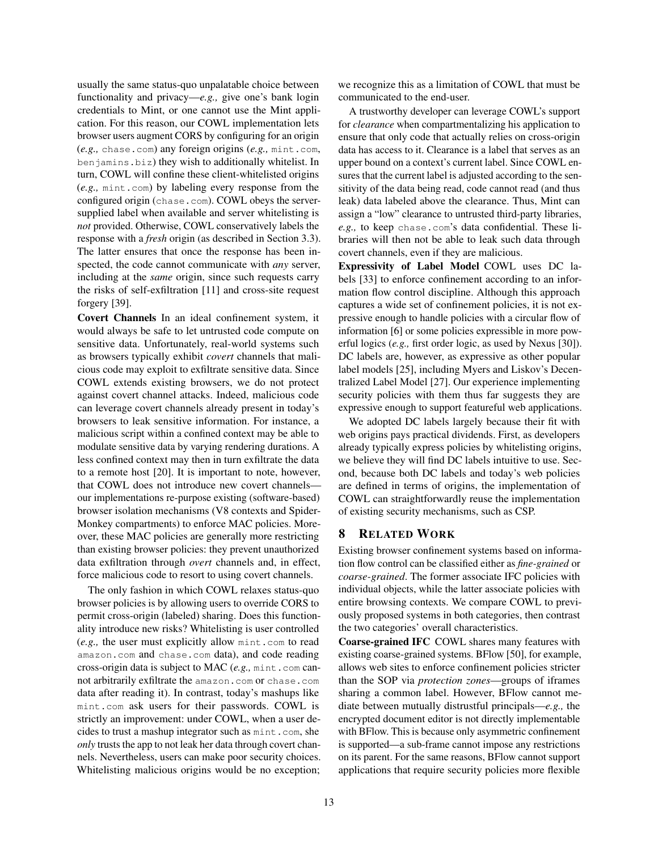usually the same status-quo unpalatable choice between functionality and privacy—*e.g.,* give one's bank login credentials to Mint, or one cannot use the Mint application. For this reason, our COWL implementation lets browser users augment CORS by configuring for an origin (*e.g.,* chase.com) any foreign origins (*e.g.,* mint.com, benjamins.biz) they wish to additionally whitelist. In turn, COWL will confine these client-whitelisted origins (*e.g.,* mint.com) by labeling every response from the configured origin (chase.com). COWL obeys the serversupplied label when available and server whitelisting is *not* provided. Otherwise, COWL conservatively labels the response with a *fresh* origin (as described in Section [3.3\)](#page-7-1). The latter ensures that once the response has been inspected, the code cannot communicate with *any* server, including at the *same* origin, since such requests carry the risks of self-exfiltration [\[11\]](#page-14-4) and cross-site request forgery [\[39\]](#page-15-18).

Covert Channels In an ideal confinement system, it would always be safe to let untrusted code compute on sensitive data. Unfortunately, real-world systems such as browsers typically exhibit *covert* channels that malicious code may exploit to exfiltrate sensitive data. Since COWL extends existing browsers, we do not protect against covert channel attacks. Indeed, malicious code can leverage covert channels already present in today's browsers to leak sensitive information. For instance, a malicious script within a confined context may be able to modulate sensitive data by varying rendering durations. A less confined context may then in turn exfiltrate the data to a remote host [\[20\]](#page-14-16). It is important to note, however, that COWL does not introduce new covert channels our implementations re-purpose existing (software-based) browser isolation mechanisms (V8 contexts and Spider-Monkey compartments) to enforce MAC policies. Moreover, these MAC policies are generally more restricting than existing browser policies: they prevent unauthorized data exfiltration through *overt* channels and, in effect, force malicious code to resort to using covert channels.

The only fashion in which COWL relaxes status-quo browser policies is by allowing users to override CORS to permit cross-origin (labeled) sharing. Does this functionality introduce new risks? Whitelisting is user controlled (*e.g.,* the user must explicitly allow mint.com to read amazon.com and chase.com data), and code reading cross-origin data is subject to MAC (e.g., mint.com cannot arbitrarily exfiltrate the amazon.com or chase.com data after reading it). In contrast, today's mashups like mint.com ask users for their passwords. COWL is strictly an improvement: under COWL, when a user decides to trust a mashup integrator such as mint.com, she *only* trusts the app to not leak her data through covert channels. Nevertheless, users can make poor security choices. Whitelisting malicious origins would be no exception;

we recognize this as a limitation of COWL that must be communicated to the end-user.

A trustworthy developer can leverage COWL's support for *clearance* when compartmentalizing his application to ensure that only code that actually relies on cross-origin data has access to it. Clearance is a label that serves as an upper bound on a context's current label. Since COWL ensures that the current label is adjusted according to the sensitivity of the data being read, code cannot read (and thus leak) data labeled above the clearance. Thus, Mint can assign a "low" clearance to untrusted third-party libraries, *e.g.,* to keep chase.com's data confidential. These libraries will then not be able to leak such data through covert channels, even if they are malicious.

Expressivity of Label Model COWL uses DC labels [\[33\]](#page-15-10) to enforce confinement according to an information flow control discipline. Although this approach captures a wide set of confinement policies, it is not expressive enough to handle policies with a circular flow of information [\[6\]](#page-14-17) or some policies expressible in more powerful logics (*e.g.,* first order logic, as used by Nexus [\[30\]](#page-15-19)). DC labels are, however, as expressive as other popular label models [\[25\]](#page-14-18), including Myers and Liskov's Decentralized Label Model [\[27\]](#page-14-19). Our experience implementing security policies with them thus far suggests they are expressive enough to support featureful web applications.

We adopted DC labels largely because their fit with web origins pays practical dividends. First, as developers already typically express policies by whitelisting origins, we believe they will find DC labels intuitive to use. Second, because both DC labels and today's web policies are defined in terms of origins, the implementation of COWL can straightforwardly reuse the implementation of existing security mechanisms, such as CSP.

### 8 RELATED WORK

Existing browser confinement systems based on information flow control can be classified either as *fine-grained* or *coarse-grained*. The former associate IFC policies with individual objects, while the latter associate policies with entire browsing contexts. We compare COWL to previously proposed systems in both categories, then contrast the two categories' overall characteristics.

Coarse-grained IFC COWL shares many features with existing coarse-grained systems. BFlow [\[50\]](#page-15-8), for example, allows web sites to enforce confinement policies stricter than the SOP via *protection zones*—groups of iframes sharing a common label. However, BFlow cannot mediate between mutually distrustful principals—*e.g.,* the encrypted document editor is not directly implementable with BFlow. This is because only asymmetric confinement is supported—a sub-frame cannot impose any restrictions on its parent. For the same reasons, BFlow cannot support applications that require security policies more flexible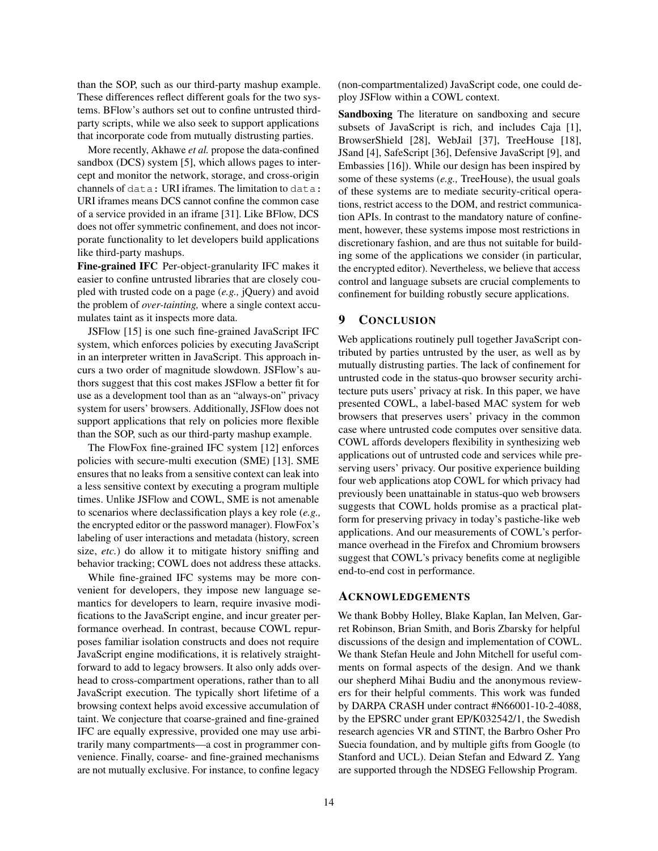than the SOP, such as our third-party mashup example. These differences reflect different goals for the two systems. BFlow's authors set out to confine untrusted thirdparty scripts, while we also seek to support applications that incorporate code from mutually distrusting parties.

More recently, Akhawe *et al.* propose the data-confined sandbox (DCS) system [\[5\]](#page-14-12), which allows pages to intercept and monitor the network, storage, and cross-origin channels of data: URI iframes. The limitation to data: URI iframes means DCS cannot confine the common case of a service provided in an iframe [\[31\]](#page-15-20). Like BFlow, DCS does not offer symmetric confinement, and does not incorporate functionality to let developers build applications like third-party mashups.

Fine-grained IFC Per-object-granularity IFC makes it easier to confine untrusted libraries that are closely coupled with trusted code on a page (*e.g.,* jQuery) and avoid the problem of *over-tainting,* where a single context accumulates taint as it inspects more data.

JSFlow [\[15\]](#page-14-20) is one such fine-grained JavaScript IFC system, which enforces policies by executing JavaScript in an interpreter written in JavaScript. This approach incurs a two order of magnitude slowdown. JSFlow's authors suggest that this cost makes JSFlow a better fit for use as a development tool than as an "always-on" privacy system for users' browsers. Additionally, JSFlow does not support applications that rely on policies more flexible than the SOP, such as our third-party mashup example.

The FlowFox fine-grained IFC system [\[12\]](#page-14-21) enforces policies with secure-multi execution (SME) [\[13\]](#page-14-22). SME ensures that no leaks from a sensitive context can leak into a less sensitive context by executing a program multiple times. Unlike JSFlow and COWL, SME is not amenable to scenarios where declassification plays a key role (*e.g.,* the encrypted editor or the password manager). FlowFox's labeling of user interactions and metadata (history, screen size, *etc.*) do allow it to mitigate history sniffing and behavior tracking; COWL does not address these attacks.

While fine-grained IFC systems may be more convenient for developers, they impose new language semantics for developers to learn, require invasive modifications to the JavaScript engine, and incur greater performance overhead. In contrast, because COWL repurposes familiar isolation constructs and does not require JavaScript engine modifications, it is relatively straightforward to add to legacy browsers. It also only adds overhead to cross-compartment operations, rather than to all JavaScript execution. The typically short lifetime of a browsing context helps avoid excessive accumulation of taint. We conjecture that coarse-grained and fine-grained IFC are equally expressive, provided one may use arbitrarily many compartments—a cost in programmer convenience. Finally, coarse- and fine-grained mechanisms are not mutually exclusive. For instance, to confine legacy

(non-compartmentalized) JavaScript code, one could deploy JSFlow within a COWL context.

Sandboxing The literature on sandboxing and secure subsets of JavaScript is rich, and includes Caja [\[1\]](#page-14-23), BrowserShield [\[28\]](#page-14-24), WebJail [\[37\]](#page-15-21), TreeHouse [\[18\]](#page-14-25), JSand [\[4\]](#page-14-26), SafeScript [\[36\]](#page-15-22), Defensive JavaScript [\[9\]](#page-14-27), and Embassies [\[16\]](#page-14-28)). While our design has been inspired by some of these systems (*e.g.,* TreeHouse), the usual goals of these systems are to mediate security-critical operations, restrict access to the DOM, and restrict communication APIs. In contrast to the mandatory nature of confinement, however, these systems impose most restrictions in discretionary fashion, and are thus not suitable for building some of the applications we consider (in particular, the encrypted editor). Nevertheless, we believe that access control and language subsets are crucial complements to confinement for building robustly secure applications.

### 9 CONCLUSION

Web applications routinely pull together JavaScript contributed by parties untrusted by the user, as well as by mutually distrusting parties. The lack of confinement for untrusted code in the status-quo browser security architecture puts users' privacy at risk. In this paper, we have presented COWL, a label-based MAC system for web browsers that preserves users' privacy in the common case where untrusted code computes over sensitive data. COWL affords developers flexibility in synthesizing web applications out of untrusted code and services while preserving users' privacy. Our positive experience building four web applications atop COWL for which privacy had previously been unattainable in status-quo web browsers suggests that COWL holds promise as a practical platform for preserving privacy in today's pastiche-like web applications. And our measurements of COWL's performance overhead in the Firefox and Chromium browsers suggest that COWL's privacy benefits come at negligible end-to-end cost in performance.

## ACKNOWLEDGEMENTS

We thank Bobby Holley, Blake Kaplan, Ian Melven, Garret Robinson, Brian Smith, and Boris Zbarsky for helpful discussions of the design and implementation of COWL. We thank Stefan Heule and John Mitchell for useful comments on formal aspects of the design. And we thank our shepherd Mihai Budiu and the anonymous reviewers for their helpful comments. This work was funded by DARPA CRASH under contract #N66001-10-2-4088, by the EPSRC under grant EP/K032542/1, the Swedish research agencies VR and STINT, the Barbro Osher Pro Suecia foundation, and by multiple gifts from Google (to Stanford and UCL). Deian Stefan and Edward Z. Yang are supported through the NDSEG Fellowship Program.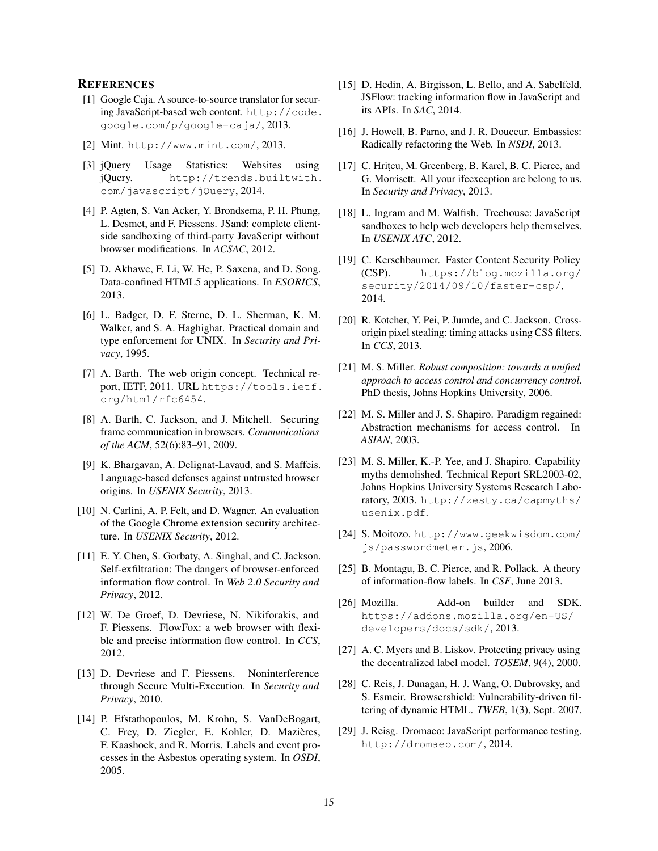## **REFERENCES**

- <span id="page-14-23"></span>[1] Google Caja. A source-to-source translator for securing JavaScript-based web content. [http://code.](http://code.google.com/p/google-caja/) [google.com/p/google-caja/](http://code.google.com/p/google-caja/), 2013.
- <span id="page-14-1"></span>[2] Mint. <http://www.mint.com/>, 2013.
- <span id="page-14-0"></span>[3] jQuery Usage Statistics: Websites using jQuery. [http://trends.builtwith.](http://trends.builtwith.com/javascript/jQuery) [com/javascript/jQuery](http://trends.builtwith.com/javascript/jQuery), 2014.
- <span id="page-14-26"></span>[4] P. Agten, S. Van Acker, Y. Brondsema, P. H. Phung, L. Desmet, and F. Piessens. JSand: complete clientside sandboxing of third-party JavaScript without browser modifications. In *ACSAC*, 2012.
- <span id="page-14-12"></span>[5] D. Akhawe, F. Li, W. He, P. Saxena, and D. Song. Data-confined HTML5 applications. In *ESORICS*, 2013.
- <span id="page-14-17"></span>[6] L. Badger, D. F. Sterne, D. L. Sherman, K. M. Walker, and S. A. Haghighat. Practical domain and type enforcement for UNIX. In *Security and Privacy*, 1995.
- <span id="page-14-2"></span>[7] A. Barth. The web origin concept. Technical report, IETF, 2011. URL [https://tools.ietf.](https://tools.ietf.org/html/rfc6454) [org/html/rfc6454](https://tools.ietf.org/html/rfc6454).
- <span id="page-14-3"></span>[8] A. Barth, C. Jackson, and J. Mitchell. Securing frame communication in browsers. *Communications of the ACM*, 52(6):83–91, 2009.
- <span id="page-14-27"></span>[9] K. Bhargavan, A. Delignat-Lavaud, and S. Maffeis. Language-based defenses against untrusted browser origins. In *USENIX Security*, 2013.
- <span id="page-14-10"></span>[10] N. Carlini, A. P. Felt, and D. Wagner. An evaluation of the Google Chrome extension security architecture. In *USENIX Security*, 2012.
- <span id="page-14-4"></span>[11] E. Y. Chen, S. Gorbaty, A. Singhal, and C. Jackson. Self-exfiltration: The dangers of browser-enforced information flow control. In *Web 2.0 Security and Privacy*, 2012.
- <span id="page-14-21"></span>[12] W. De Groef, D. Devriese, N. Nikiforakis, and F. Piessens. FlowFox: a web browser with flexible and precise information flow control. In *CCS*, 2012.
- <span id="page-14-22"></span>[13] D. Devriese and F. Piessens. Noninterference through Secure Multi-Execution. In *Security and Privacy*, 2010.
- <span id="page-14-5"></span>[14] P. Efstathopoulos, M. Krohn, S. VanDeBogart, C. Frey, D. Ziegler, E. Kohler, D. Mazières, F. Kaashoek, and R. Morris. Labels and event processes in the Asbestos operating system. In *OSDI*, 2005.
- <span id="page-14-20"></span>[15] D. Hedin, A. Birgisson, L. Bello, and A. Sabelfeld. JSFlow: tracking information flow in JavaScript and its APIs. In *SAC*, 2014.
- <span id="page-14-28"></span>[16] J. Howell, B. Parno, and J. R. Douceur. Embassies: Radically refactoring the Web. In *NSDI*, 2013.
- <span id="page-14-6"></span>[17] C. Hritçu, M. Greenberg, B. Karel, B. C. Pierce, and G. Morrisett. All your ifcexception are belong to us. In *Security and Privacy*, 2013.
- <span id="page-14-25"></span>[18] L. Ingram and M. Walfish. Treehouse: JavaScript sandboxes to help web developers help themselves. In *USENIX ATC*, 2012.
- <span id="page-14-13"></span>[19] C. Kerschbaumer. Faster Content Security Policy (CSP). [https://blog.mozilla.org/](https://blog.mozilla.org/security/2014/09/10/faster-csp/) [security/2014/09/10/faster-csp/](https://blog.mozilla.org/security/2014/09/10/faster-csp/), 2014.
- <span id="page-14-16"></span>[20] R. Kotcher, Y. Pei, P. Jumde, and C. Jackson. Crossorigin pixel stealing: timing attacks using CSS filters. In *CCS*, 2013.
- <span id="page-14-8"></span>[21] M. S. Miller. *Robust composition: towards a unified approach to access control and concurrency control*. PhD thesis, Johns Hopkins University, 2006.
- <span id="page-14-9"></span>[22] M. S. Miller and J. S. Shapiro. Paradigm regained: Abstraction mechanisms for access control. In *ASIAN*, 2003.
- <span id="page-14-7"></span>[23] M. S. Miller, K.-P. Yee, and J. Shapiro. Capability myths demolished. Technical Report SRL2003-02, Johns Hopkins University Systems Research Laboratory, 2003. [http://zesty.ca/capmyths/](http://zesty.ca/capmyths/usenix.pdf) [usenix.pdf](http://zesty.ca/capmyths/usenix.pdf).
- <span id="page-14-15"></span>[24] S. Moitozo. [http://www.geekwisdom.com/](http://www.geekwisdom.com/js/passwordmeter.js) [js/passwordmeter.js](http://www.geekwisdom.com/js/passwordmeter.js), 2006.
- <span id="page-14-18"></span>[25] B. Montagu, B. C. Pierce, and R. Pollack. A theory of information-flow labels. In *CSF*, June 2013.
- <span id="page-14-11"></span>[26] Mozilla. Add-on builder and SDK. [https://addons.mozilla.org/en-US/](https://addons.mozilla.org/en-US/developers/docs/sdk/) [developers/docs/sdk/](https://addons.mozilla.org/en-US/developers/docs/sdk/), 2013.
- <span id="page-14-19"></span>[27] A. C. Myers and B. Liskov. Protecting privacy using the decentralized label model. *TOSEM*, 9(4), 2000.
- <span id="page-14-24"></span>[28] C. Reis, J. Dunagan, H. J. Wang, O. Dubrovsky, and S. Esmeir. Browsershield: Vulnerability-driven filtering of dynamic HTML. *TWEB*, 1(3), Sept. 2007.
- <span id="page-14-14"></span>[29] J. Reisg. Dromaeo: JavaScript performance testing. <http://dromaeo.com/>, 2014.